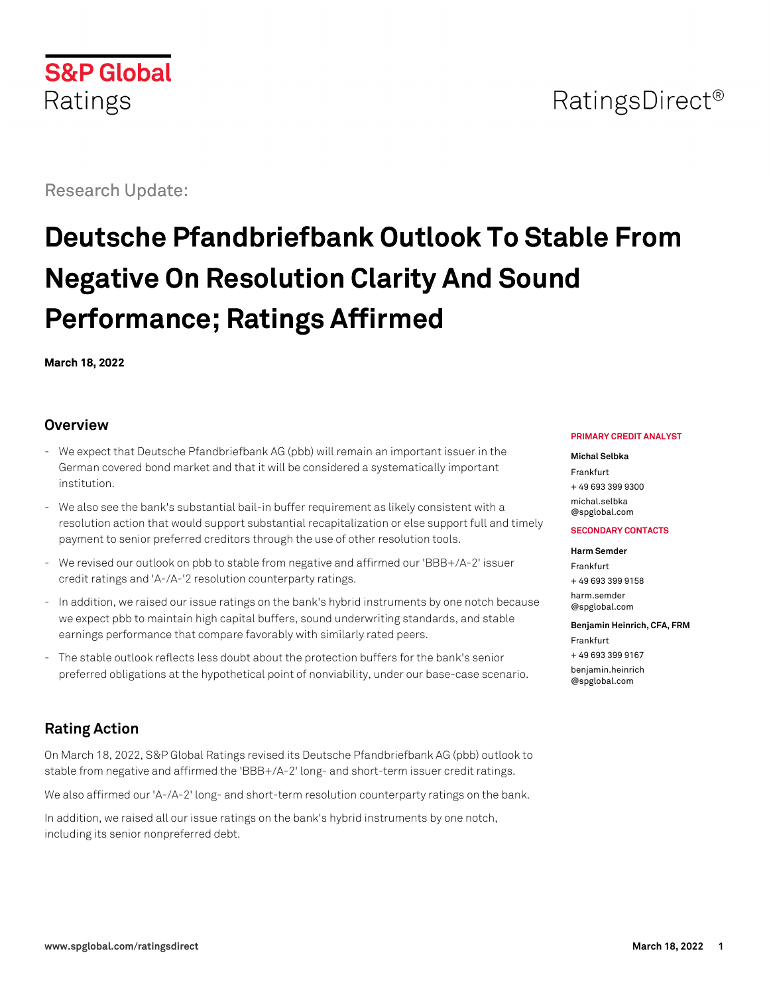

Research Update:

# **Deutsche Pfandbriefbank Outlook To Stable From Negative On Resolution Clarity And Sound Performance; Ratings Affirmed**

**March 18, 2022**

## **Overview**

- We expect that Deutsche Pfandbriefbank AG (pbb) will remain an important issuer in the German covered bond market and that it will be considered a systematically important institution.
- We also see the bank's substantial bail-in buffer requirement as likely consistent with a resolution action that would support substantial recapitalization or else support full and timely payment to senior preferred creditors through the use of other resolution tools.
- We revised our outlook on pbb to stable from negative and affirmed our 'BBB+/A-2' issuer credit ratings and 'A-/A-'2 resolution counterparty ratings.
- In addition, we raised our issue ratings on the bank's hybrid instruments by one notch because we expect pbb to maintain high capital buffers, sound underwriting standards, and stable earnings performance that compare favorably with similarly rated peers.
- The stable outlook reflects less doubt about the protection buffers for the bank's senior preferred obligations at the hypothetical point of nonviability, under our base-case scenario.

# **Rating Action**

On March 18, 2022, S&P Global Ratings revised its Deutsche Pfandbriefbank AG (pbb) outlook to stable from negative and affirmed the 'BBB+/A-2' long- and short-term issuer credit ratings.

We also affirmed our 'A-/A-2' long- and short-term resolution counterparty ratings on the bank.

In addition, we raised all our issue ratings on the bank's hybrid instruments by one notch, including its senior nonpreferred debt.

#### **PRIMARY CREDIT ANALYST**

#### **Michal Selbka**

Frankfurt + 49 693 399 9300 [michal.selbka](mailto:michal.selbka@spglobal.com) [@spglobal.com](mailto:michal.selbka@spglobal.com)

#### **SECONDARY CONTACTS**

#### **Harm Semder**

Frankfurt + 49 693 399 9158 [harm.semder](mailto:harm.semder@spglobal.com) [@spglobal.com](mailto:harm.semder@spglobal.com)

# **Benjamin Heinrich, CFA, FRM**

Frankfurt + 49 693 399 9167 [benjamin.heinrich](mailto:benjamin.heinrich@spglobal.com) [@spglobal.com](mailto:benjamin.heinrich@spglobal.com)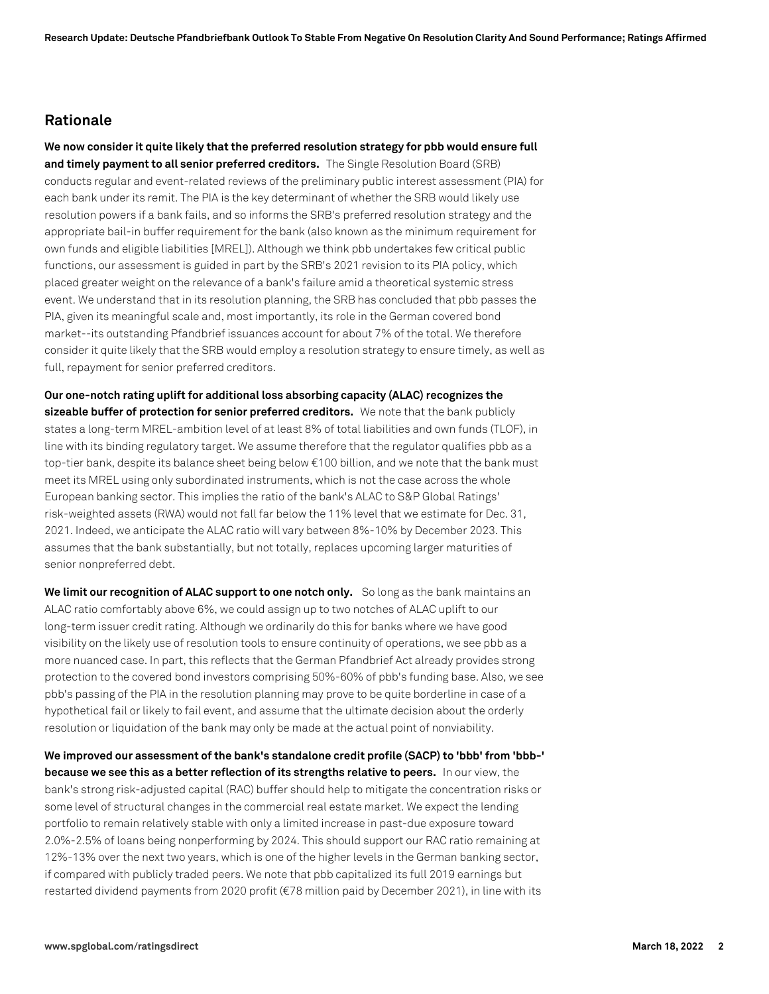## **Rationale**

**We now consider it quite likely that the preferred resolution strategy for pbb would ensure full and timely payment to all senior preferred creditors.** The Single Resolution Board (SRB) conducts regular and event-related reviews of the preliminary public interest assessment (PIA) for each bank under its remit. The PIA is the key determinant of whether the SRB would likely use resolution powers if a bank fails, and so informs the SRB's preferred resolution strategy and the appropriate bail-in buffer requirement for the bank (also known as the minimum requirement for own funds and eligible liabilities [MREL]). Although we think pbb undertakes few critical public functions, our assessment is guided in part by the SRB's 2021 revision to its PIA policy, which placed greater weight on the relevance of a bank's failure amid a theoretical systemic stress event. We understand that in its resolution planning, the SRB has concluded that pbb passes the PIA, given its meaningful scale and, most importantly, its role in the German covered bond market--its outstanding Pfandbrief issuances account for about 7% of the total. We therefore consider it quite likely that the SRB would employ a resolution strategy to ensure timely, as well as full, repayment for senior preferred creditors.

**Our one-notch rating uplift for additional loss absorbing capacity (ALAC) recognizes the sizeable buffer of protection for senior preferred creditors.** We note that the bank publicly states a long-term MREL-ambition level of at least 8% of total liabilities and own funds (TLOF), in line with its binding regulatory target. We assume therefore that the regulator qualifies pbb as a top-tier bank, despite its balance sheet being below €100 billion, and we note that the bank must meet its MREL using only subordinated instruments, which is not the case across the whole European banking sector. This implies the ratio of the bank's ALAC to S&P Global Ratings' risk-weighted assets (RWA) would not fall far below the 11% level that we estimate for Dec. 31, 2021. Indeed, we anticipate the ALAC ratio will vary between 8%-10% by December 2023. This assumes that the bank substantially, but not totally, replaces upcoming larger maturities of senior nonpreferred debt.

**We limit our recognition of ALAC support to one notch only.** So long as the bank maintains an ALAC ratio comfortably above 6%, we could assign up to two notches of ALAC uplift to our long-term issuer credit rating. Although we ordinarily do this for banks where we have good visibility on the likely use of resolution tools to ensure continuity of operations, we see pbb as a more nuanced case. In part, this reflects that the German Pfandbrief Act already provides strong protection to the covered bond investors comprising 50%-60% of pbb's funding base. Also, we see pbb's passing of the PIA in the resolution planning may prove to be quite borderline in case of a hypothetical fail or likely to fail event, and assume that the ultimate decision about the orderly resolution or liquidation of the bank may only be made at the actual point of nonviability.

**We improved our assessment of the bank's standalone credit profile (SACP) to 'bbb' from 'bbb-' because we see this as a better reflection of its strengths relative to peers.** In our view, the bank's strong risk-adjusted capital (RAC) buffer should help to mitigate the concentration risks or some level of structural changes in the commercial real estate market. We expect the lending portfolio to remain relatively stable with only a limited increase in past-due exposure toward 2.0%-2.5% of loans being nonperforming by 2024. This should support our RAC ratio remaining at 12%-13% over the next two years, which is one of the higher levels in the German banking sector, if compared with publicly traded peers. We note that pbb capitalized its full 2019 earnings but restarted dividend payments from 2020 profit (€78 million paid by December 2021), in line with its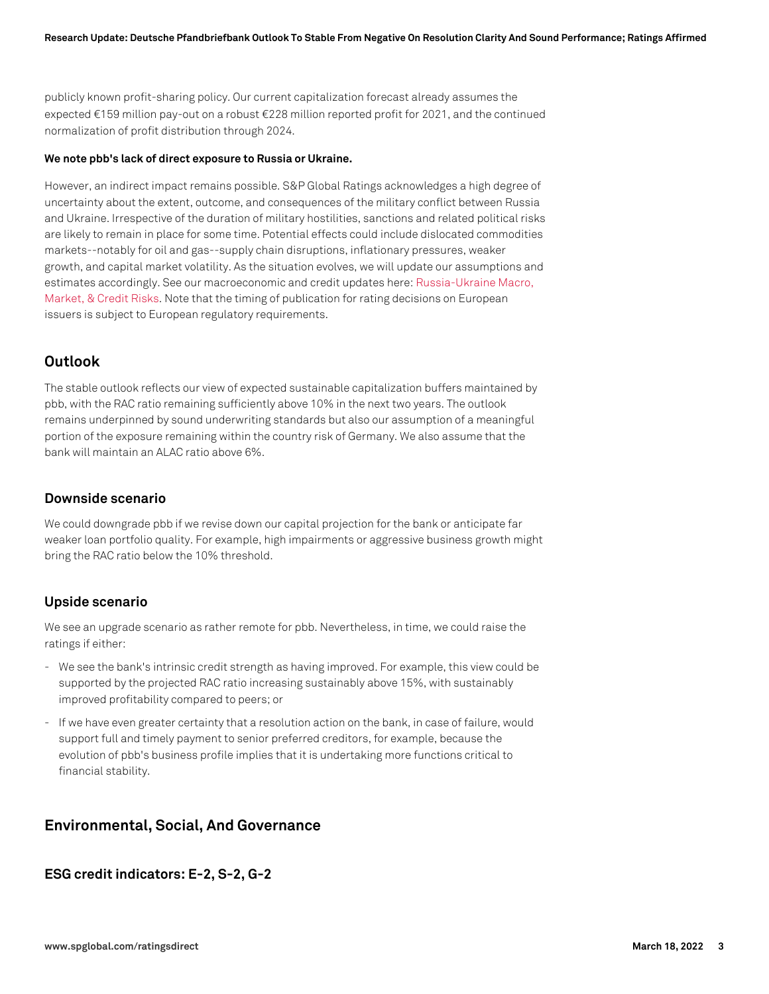publicly known profit-sharing policy. Our current capitalization forecast already assumes the expected €159 million pay-out on a robust €228 million reported profit for 2021, and the continued normalization of profit distribution through 2024.

#### **We note pbb's lack of direct exposure to Russia or Ukraine.**

However, an indirect impact remains possible. S&P Global Ratings acknowledges a high degree of uncertainty about the extent, outcome, and consequences of the military conflict between Russia and Ukraine. Irrespective of the duration of military hostilities, sanctions and related political risks are likely to remain in place for some time. Potential effects could include dislocated commodities markets--notably for oil and gas--supply chain disruptions, inflationary pressures, weaker growth, and capital market volatility. As the situation evolves, we will update our assumptions and estimates accordingly. See our macroeconomic and credit updates here: [Russia-Ukraine Macro,](https://www.spglobal.com/ratings/en/research-insights/topics/russia-ukraine-conflict) [Market, & Credit Risks.](https://www.spglobal.com/ratings/en/research-insights/topics/russia-ukraine-conflict) Note that the timing of publication for rating decisions on European issuers is subject to European regulatory requirements.

## **Outlook**

The stable outlook reflects our view of expected sustainable capitalization buffers maintained by pbb, with the RAC ratio remaining sufficiently above 10% in the next two years. The outlook remains underpinned by sound underwriting standards but also our assumption of a meaningful portion of the exposure remaining within the country risk of Germany. We also assume that the bank will maintain an ALAC ratio above 6%.

#### **Downside scenario**

We could downgrade pbb if we revise down our capital projection for the bank or anticipate far weaker loan portfolio quality. For example, high impairments or aggressive business growth might bring the RAC ratio below the 10% threshold.

### **Upside scenario**

We see an upgrade scenario as rather remote for pbb. Nevertheless, in time, we could raise the ratings if either:

- We see the bank's intrinsic credit strength as having improved. For example, this view could be supported by the projected RAC ratio increasing sustainably above 15%, with sustainably improved profitability compared to peers; or
- If we have even greater certainty that a resolution action on the bank, in case of failure, would support full and timely payment to senior preferred creditors, for example, because the evolution of pbb's business profile implies that it is undertaking more functions critical to financial stability.

## **Environmental, Social, And Governance**

### **ESG credit indicators: E-2, S-2, G-2**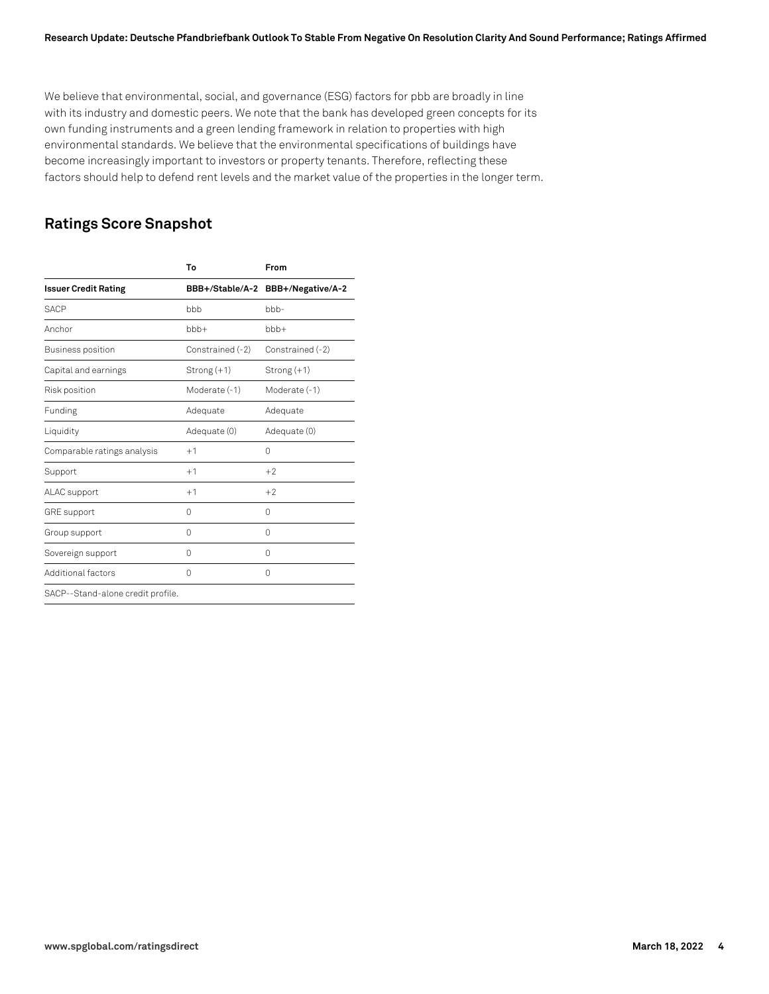We believe that environmental, social, and governance (ESG) factors for pbb are broadly in line with its industry and domestic peers. We note that the bank has developed green concepts for its own funding instruments and a green lending framework in relation to properties with high environmental standards. We believe that the environmental specifications of buildings have become increasingly important to investors or property tenants. Therefore, reflecting these factors should help to defend rent levels and the market value of the properties in the longer term.

# **Ratings Score Snapshot**

|                                   | To               | From                 |
|-----------------------------------|------------------|----------------------|
| <b>Issuer Credit Rating</b>       | BBB+/Stable/A-2  | BBB+/Negative/A-2    |
| <b>SACP</b>                       | bbb              | $b$ <sub>b</sub> $-$ |
| Anchor                            | $bbb +$          | $bbb +$              |
| Business position                 | Constrained (-2) | Constrained (-2)     |
| Capital and earnings              | $Strong(+1)$     | $Strong(+1)$         |
| Risk position                     | Moderate (-1)    | Moderate (-1)        |
| Funding                           | Adequate         | Adequate             |
| Liquidity                         | Adequate (0)     | Adequate (0)         |
| Comparable ratings analysis       | $+1$             | 0                    |
| Support                           | $+1$             | $+2$                 |
| ALAC support                      | $+1$             | $+2$                 |
| <b>GRE</b> support                | $\Omega$         | $\Omega$             |
| Group support                     | 0                | 0                    |
| Sovereign support                 | $\Omega$         | $\Omega$             |
| Additional factors                | $\Omega$         | 0                    |
| SACP--Stand-alone credit profile. |                  |                      |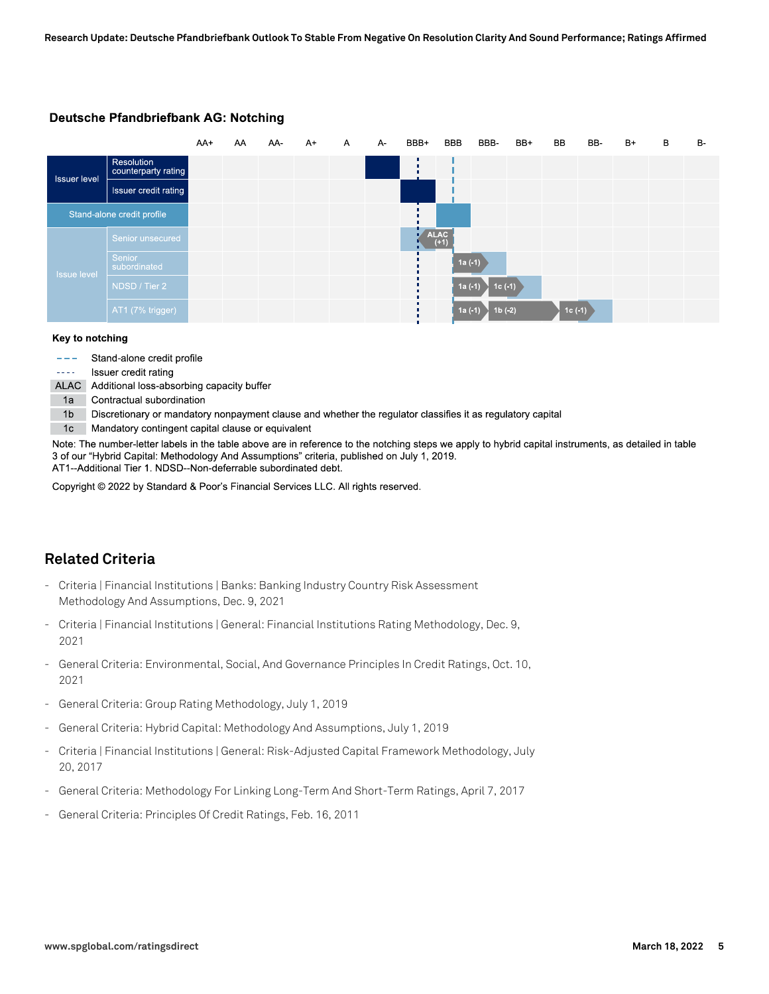|                     |                                   | AA+ | AA | AA- | $A+$ | $\mathsf{A}$ | A- | BBB+ | <b>BBB</b>  | BBB-     | BB+ | BB       | BB- | $B+$ | B | <b>B-</b> |
|---------------------|-----------------------------------|-----|----|-----|------|--------------|----|------|-------------|----------|-----|----------|-----|------|---|-----------|
| <b>Issuer level</b> | Resolution<br>counterparty rating |     |    |     |      |              |    |      |             |          |     |          |     |      |   |           |
|                     | Issuer credit rating              |     |    |     |      |              |    |      |             |          |     |          |     |      |   |           |
|                     | Stand-alone credit profile        |     |    |     |      |              |    |      |             |          |     |          |     |      |   |           |
|                     | Senior unsecured                  |     |    |     |      |              |    |      | <b>ALAC</b> |          |     |          |     |      |   |           |
| <b>Issue level</b>  | Senior<br>subordinated            |     |    |     |      |              |    |      | $1a(-1)$    |          |     |          |     |      |   |           |
|                     | NDSD / Tier 2                     |     |    |     |      |              |    |      | $1a(-1)$    | $1c(-1)$ |     |          |     |      |   |           |
|                     | AT1 (7% trigger)                  |     |    |     |      |              |    |      | $1a(-1)$    | $1b(-2)$ |     | $1c(-1)$ |     |      |   |           |

#### Deutsche Pfandbriefbank AG: Notching

#### Key to notching

|  | Stand-alone credit profile |  |  |
|--|----------------------------|--|--|
|--|----------------------------|--|--|

Issuer credit rating  $\sim$   $\sim$   $\sim$ 

ALAC Additional loss-absorbing capacity buffer

1a Contractual subordination

1b Discretionary or mandatory nonpayment clause and whether the regulator classifies it as regulatory capital

1c Mandatory contingent capital clause or equivalent

Note: The number-letter labels in the table above are in reference to the notching steps we apply to hybrid capital instruments, as detailed in table 3 of our "Hybrid Capital: Methodology And Assumptions" criteria, published on July 1, 2019. AT1--Additional Tier 1. NDSD--Non-deferrable subordinated debt.

Copyright © 2022 by Standard & Poor's Financial Services LLC. All rights reserved.

# **Related Criteria**

- Criteria | Financial Institutions | Banks: Banking Industry Country Risk Assessment Methodology And Assumptions, Dec. 9, 2021
- Criteria | Financial Institutions | General: Financial Institutions Rating Methodology, Dec. 9, 2021
- General Criteria: Environmental, Social, And Governance Principles In Credit Ratings, Oct. 10, 2021
- General Criteria: Group Rating Methodology, July 1, 2019
- General Criteria: Hybrid Capital: Methodology And Assumptions, July 1, 2019
- Criteria | Financial Institutions | General: Risk-Adjusted Capital Framework Methodology, July 20, 2017
- General Criteria: Methodology For Linking Long-Term And Short-Term Ratings, April 7, 2017
- General Criteria: Principles Of Credit Ratings, Feb. 16, 2011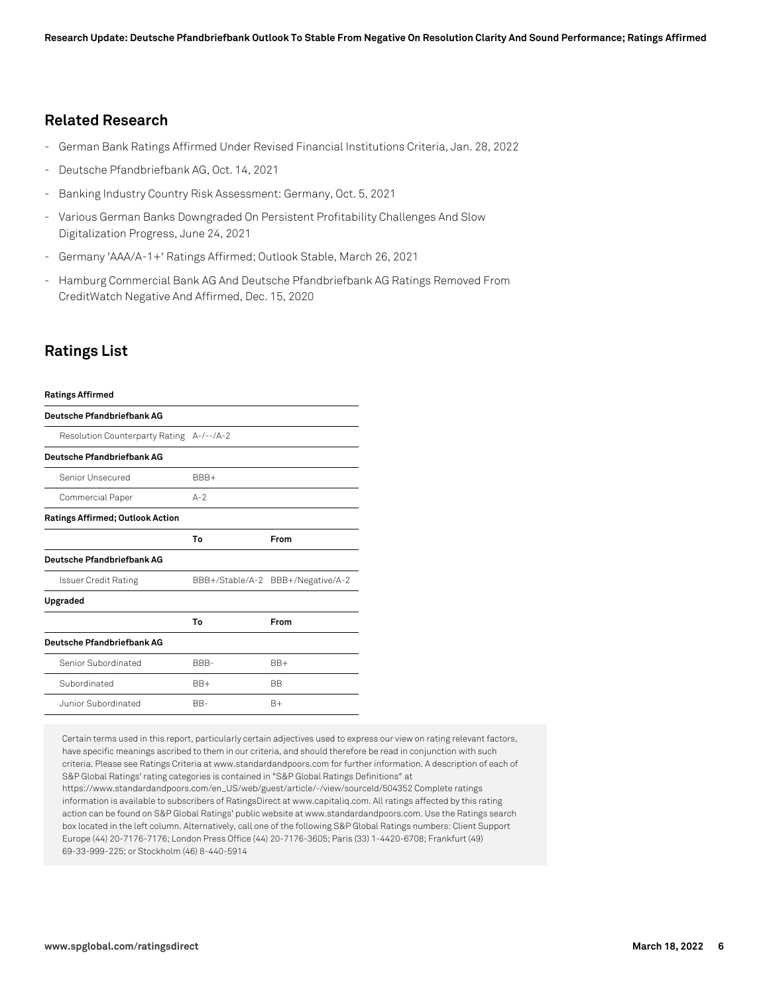## **Related Research**

- German Bank Ratings Affirmed Under Revised Financial Institutions Criteria, Jan. 28, 2022
- Deutsche Pfandbriefbank AG, Oct. 14, 2021
- Banking Industry Country Risk Assessment: Germany, Oct. 5, 2021
- Various German Banks Downgraded On Persistent Profitability Challenges And Slow Digitalization Progress, June 24, 2021
- Germany 'AAA/A-1+' Ratings Affirmed; Outlook Stable, March 26, 2021
- Hamburg Commercial Bank AG And Deutsche Pfandbriefbank AG Ratings Removed From CreditWatch Negative And Affirmed, Dec. 15, 2020

# **Ratings List**

| <b>Ratings Affirmed</b>                  |                                   |           |  |  |  |  |
|------------------------------------------|-----------------------------------|-----------|--|--|--|--|
| Deutsche Pfandbriefbank AG               |                                   |           |  |  |  |  |
| Resolution Counterparty Rating A-/--/A-2 |                                   |           |  |  |  |  |
| Deutsche Pfandbriefbank AG               |                                   |           |  |  |  |  |
| Senior Unsecured                         | BBB+                              |           |  |  |  |  |
| Commercial Paper                         | $A-2$                             |           |  |  |  |  |
| <b>Ratings Affirmed; Outlook Action</b>  |                                   |           |  |  |  |  |
|                                          | To                                | From      |  |  |  |  |
| Deutsche Pfandbriefbank AG               |                                   |           |  |  |  |  |
| Issuer Credit Rating                     | BBB+/Stable/A-2 BBB+/Negative/A-2 |           |  |  |  |  |
| Upgraded                                 |                                   |           |  |  |  |  |
|                                          | To                                | From      |  |  |  |  |
| Deutsche Pfandbriefbank AG               |                                   |           |  |  |  |  |
| Senior Subordinated                      | BBB-                              | $BB+$     |  |  |  |  |
| Subordinated                             | $BB+$                             | <b>BB</b> |  |  |  |  |
| Junior Subordinated                      | BB-                               | $B+$      |  |  |  |  |

Certain terms used in this report, particularly certain adjectives used to express our view on rating relevant factors, have specific meanings ascribed to them in our criteria, and should therefore be read in conjunction with such criteria. Please see Ratings Criteria at www.standardandpoors.com for further information. A description of each of S&P Global Ratings' rating categories is contained in "S&P Global Ratings Definitions" at https://www.standardandpoors.com/en\_US/web/guest/article/-/view/sourceId/504352 Complete ratings information is available to subscribers of RatingsDirect at www.capitaliq.com. All ratings affected by this rating action can be found on S&P Global Ratings' public website at www.standardandpoors.com. Use the Ratings search box located in the left column. Alternatively, call one of the following S&P Global Ratings numbers: Client Support Europe (44) 20-7176-7176; London Press Office (44) 20-7176-3605; Paris (33) 1-4420-6708; Frankfurt (49) 69-33-999-225; or Stockholm (46) 8-440-5914